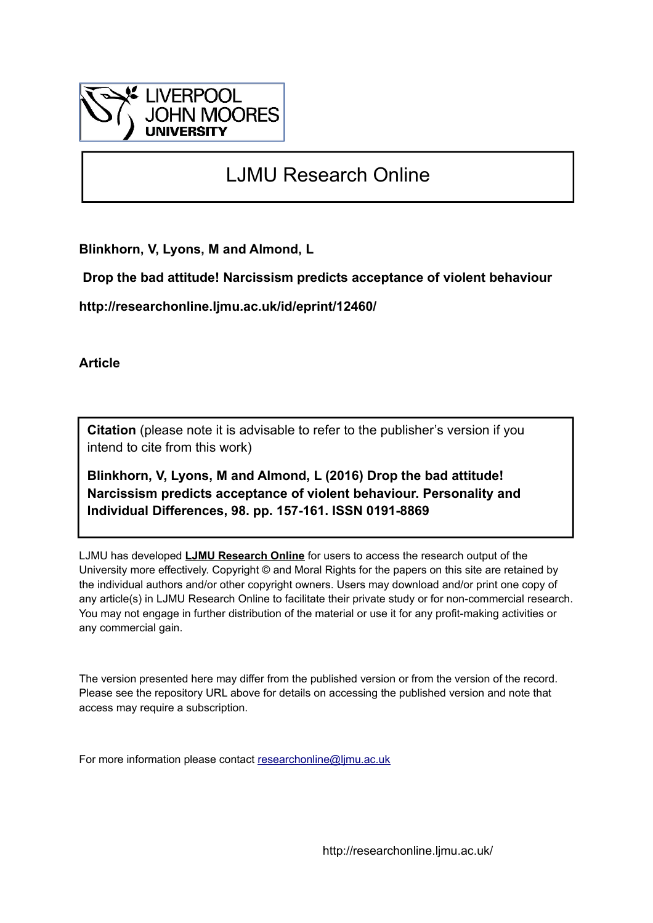

# LJMU Research Online

**Blinkhorn, V, Lyons, M and Almond, L**

 **Drop the bad attitude! Narcissism predicts acceptance of violent behaviour**

**http://researchonline.ljmu.ac.uk/id/eprint/12460/**

**Article**

**Citation** (please note it is advisable to refer to the publisher's version if you intend to cite from this work)

**Blinkhorn, V, Lyons, M and Almond, L (2016) Drop the bad attitude! Narcissism predicts acceptance of violent behaviour. Personality and Individual Differences, 98. pp. 157-161. ISSN 0191-8869** 

LJMU has developed **[LJMU Research Online](http://researchonline.ljmu.ac.uk/)** for users to access the research output of the University more effectively. Copyright © and Moral Rights for the papers on this site are retained by the individual authors and/or other copyright owners. Users may download and/or print one copy of any article(s) in LJMU Research Online to facilitate their private study or for non-commercial research. You may not engage in further distribution of the material or use it for any profit-making activities or any commercial gain.

The version presented here may differ from the published version or from the version of the record. Please see the repository URL above for details on accessing the published version and note that access may require a subscription.

For more information please contact [researchonline@ljmu.ac.uk](mailto:researchonline@ljmu.ac.uk)

http://researchonline.ljmu.ac.uk/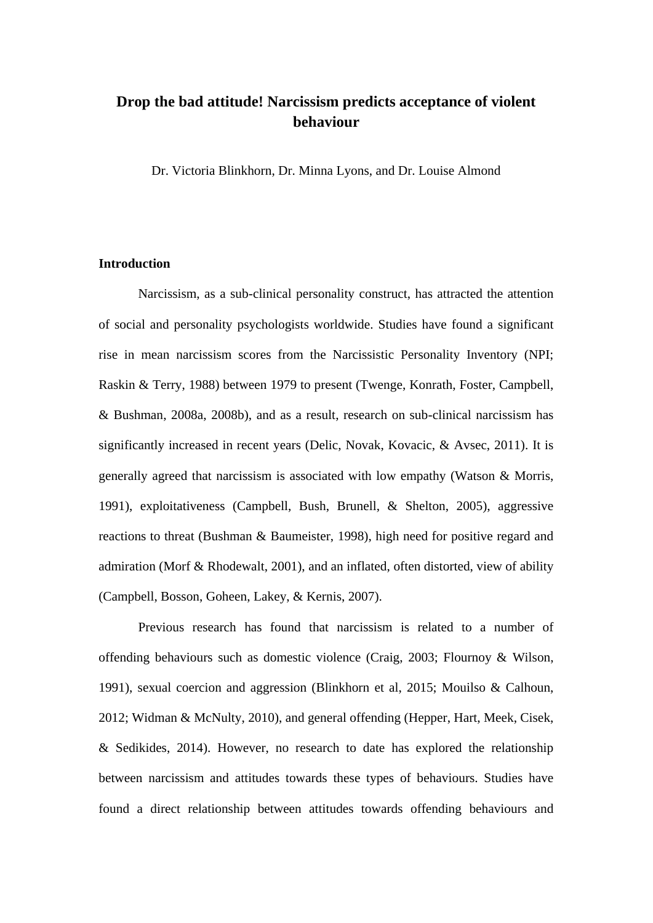# **Drop the bad attitude! Narcissism predicts acceptance of violent behaviour**

Dr. Victoria Blinkhorn, Dr. Minna Lyons, and Dr. Louise Almond

## **Introduction**

Narcissism, as a sub-clinical personality construct, has attracted the attention of social and personality psychologists worldwide. Studies have found a significant rise in mean narcissism scores from the Narcissistic Personality Inventory (NPI; Raskin & Terry, 1988) between 1979 to present (Twenge, Konrath, Foster, Campbell, & Bushman, 2008a, 2008b), and as a result, research on sub-clinical narcissism has significantly increased in recent years (Delic, Novak, Kovacic, & Avsec, 2011). It is generally agreed that narcissism is associated with low empathy (Watson & Morris, 1991), exploitativeness (Campbell, Bush, Brunell, & Shelton, 2005), aggressive reactions to threat (Bushman & Baumeister, 1998), high need for positive regard and admiration (Morf & Rhodewalt, 2001), and an inflated, often distorted, view of ability (Campbell, Bosson, Goheen, Lakey, & Kernis, 2007).

Previous research has found that narcissism is related to a number of offending behaviours such as domestic violence (Craig, 2003; Flournoy & Wilson, 1991), sexual coercion and aggression (Blinkhorn et al, 2015; Mouilso & Calhoun, 2012; Widman & McNulty, 2010), and general offending (Hepper, Hart, Meek, Cisek, & Sedikides, 2014). However, no research to date has explored the relationship between narcissism and attitudes towards these types of behaviours. Studies have found a direct relationship between attitudes towards offending behaviours and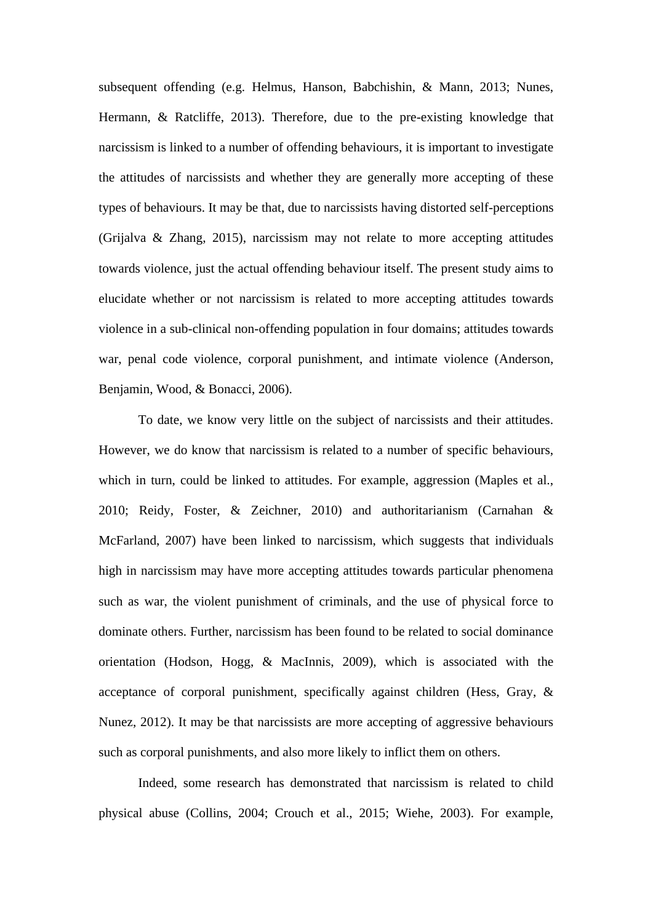subsequent offending (e.g. Helmus, Hanson, Babchishin, & Mann, 2013; Nunes, Hermann, & Ratcliffe, 2013). Therefore, due to the pre-existing knowledge that narcissism is linked to a number of offending behaviours, it is important to investigate the attitudes of narcissists and whether they are generally more accepting of these types of behaviours. It may be that, due to narcissists having distorted self-perceptions (Grijalva & Zhang, 2015), narcissism may not relate to more accepting attitudes towards violence, just the actual offending behaviour itself. The present study aims to elucidate whether or not narcissism is related to more accepting attitudes towards violence in a sub-clinical non-offending population in four domains; attitudes towards war, penal code violence, corporal punishment, and intimate violence (Anderson, Benjamin, Wood, & Bonacci, 2006).

To date, we know very little on the subject of narcissists and their attitudes. However, we do know that narcissism is related to a number of specific behaviours, which in turn, could be linked to attitudes. For example, aggression (Maples et al., 2010; Reidy, Foster, & Zeichner, 2010) and authoritarianism (Carnahan & McFarland, 2007) have been linked to narcissism, which suggests that individuals high in narcissism may have more accepting attitudes towards particular phenomena such as war, the violent punishment of criminals, and the use of physical force to dominate others. Further, narcissism has been found to be related to social dominance orientation (Hodson, Hogg, & MacInnis, 2009), which is associated with the acceptance of corporal punishment, specifically against children (Hess, Gray, & Nunez, 2012). It may be that narcissists are more accepting of aggressive behaviours such as corporal punishments, and also more likely to inflict them on others.

Indeed, some research has demonstrated that narcissism is related to child physical abuse (Collins, 2004; Crouch et al., 2015; Wiehe, 2003). For example,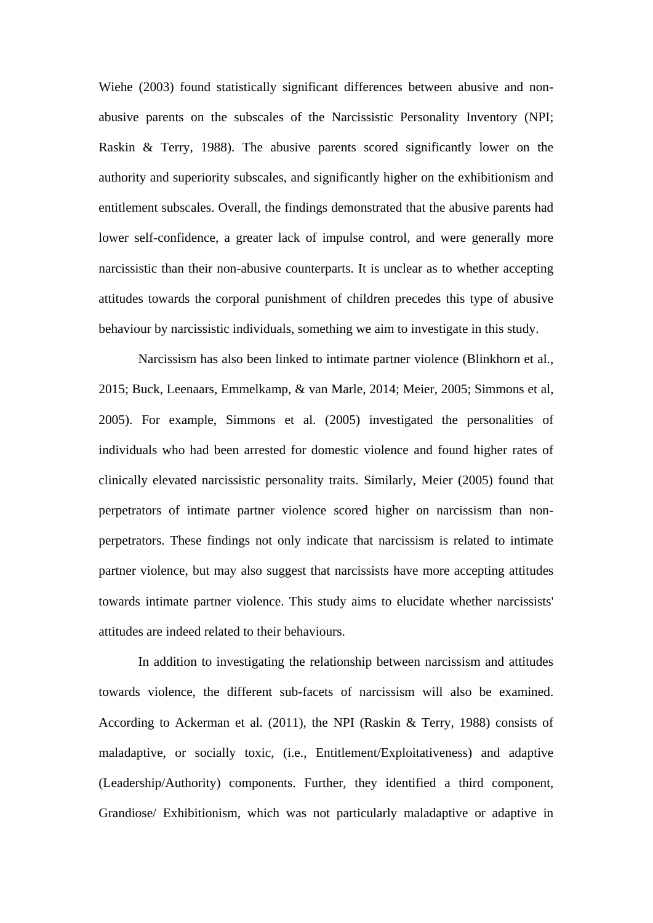Wiehe (2003) found statistically significant differences between abusive and nonabusive parents on the subscales of the Narcissistic Personality Inventory (NPI; Raskin & Terry, 1988). The abusive parents scored significantly lower on the authority and superiority subscales, and significantly higher on the exhibitionism and entitlement subscales. Overall, the findings demonstrated that the abusive parents had lower self-confidence, a greater lack of impulse control, and were generally more narcissistic than their non-abusive counterparts. It is unclear as to whether accepting attitudes towards the corporal punishment of children precedes this type of abusive behaviour by narcissistic individuals, something we aim to investigate in this study.

Narcissism has also been linked to intimate partner violence (Blinkhorn et al., 2015; Buck, Leenaars, Emmelkamp, & van Marle, 2014; Meier, 2005; Simmons et al, 2005). For example, Simmons et al. (2005) investigated the personalities of individuals who had been arrested for domestic violence and found higher rates of clinically elevated narcissistic personality traits. Similarly, Meier (2005) found that perpetrators of intimate partner violence scored higher on narcissism than nonperpetrators. These findings not only indicate that narcissism is related to intimate partner violence, but may also suggest that narcissists have more accepting attitudes towards intimate partner violence. This study aims to elucidate whether narcissists' attitudes are indeed related to their behaviours.

In addition to investigating the relationship between narcissism and attitudes towards violence, the different sub-facets of narcissism will also be examined. According to Ackerman et al. (2011), the NPI (Raskin & Terry, 1988) consists of maladaptive, or socially toxic, (i.e., Entitlement/Exploitativeness) and adaptive (Leadership/Authority) components. Further, they identified a third component, Grandiose/ Exhibitionism, which was not particularly maladaptive or adaptive in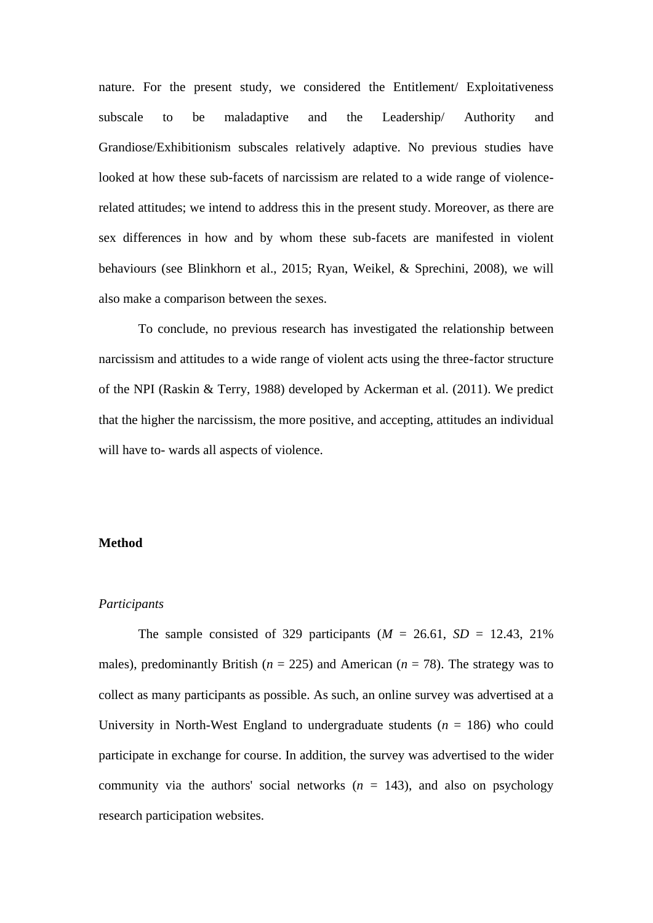nature. For the present study, we considered the Entitlement/ Exploitativeness subscale to be maladaptive and the Leadership/ Authority and Grandiose/Exhibitionism subscales relatively adaptive. No previous studies have looked at how these sub-facets of narcissism are related to a wide range of violencerelated attitudes; we intend to address this in the present study. Moreover, as there are sex differences in how and by whom these sub-facets are manifested in violent behaviours (see Blinkhorn et al., 2015; Ryan, Weikel, & Sprechini, 2008), we will also make a comparison between the sexes.

To conclude, no previous research has investigated the relationship between narcissism and attitudes to a wide range of violent acts using the three-factor structure of the NPI (Raskin & Terry, 1988) developed by Ackerman et al. (2011). We predict that the higher the narcissism, the more positive, and accepting, attitudes an individual will have to- wards all aspects of violence.

#### **Method**

#### *Participants*

The sample consisted of 329 participants  $(M = 26.61, SD = 12.43, 21\%$ males), predominantly British ( $n = 225$ ) and American ( $n = 78$ ). The strategy was to collect as many participants as possible. As such, an online survey was advertised at a University in North-West England to undergraduate students  $(n = 186)$  who could participate in exchange for course. In addition, the survey was advertised to the wider community via the authors' social networks  $(n = 143)$ , and also on psychology research participation websites.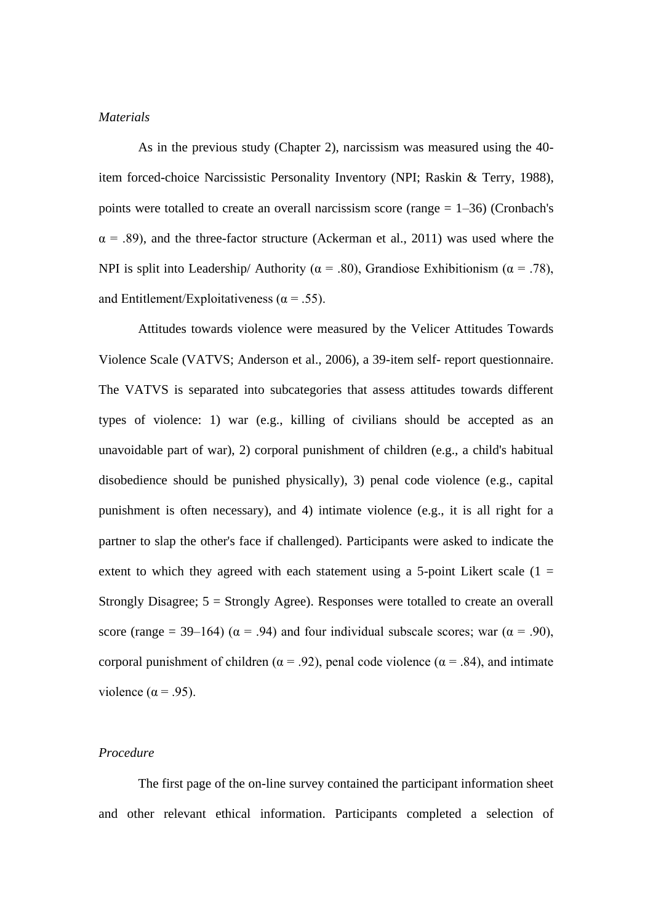#### *Materials*

As in the previous study (Chapter 2), narcissism was measured using the 40 item forced-choice Narcissistic Personality Inventory (NPI; Raskin & Terry, 1988), points were totalled to create an overall narcissism score (range  $= 1-36$ ) (Cronbach's  $\alpha$  = .89), and the three-factor structure (Ackerman et al., 2011) was used where the NPI is split into Leadership/ Authority ( $\alpha$  = .80), Grandiose Exhibitionism ( $\alpha$  = .78), and Entitlement/Exploitativeness ( $\alpha$  = .55).

Attitudes towards violence were measured by the Velicer Attitudes Towards Violence Scale (VATVS; Anderson et al., 2006), a 39-item self- report questionnaire. The VATVS is separated into subcategories that assess attitudes towards different types of violence: 1) war (e.g., killing of civilians should be accepted as an unavoidable part of war), 2) corporal punishment of children (e.g., a child's habitual disobedience should be punished physically), 3) penal code violence (e.g., capital punishment is often necessary), and 4) intimate violence (e.g., it is all right for a partner to slap the other's face if challenged). Participants were asked to indicate the extent to which they agreed with each statement using a 5-point Likert scale  $(1 =$ Strongly Disagree; 5 = Strongly Agree). Responses were totalled to create an overall score (range = 39–164) ( $\alpha$  = .94) and four individual subscale scores; war ( $\alpha$  = .90), corporal punishment of children ( $\alpha$  = .92), penal code violence ( $\alpha$  = .84), and intimate violence ( $\alpha$  = .95).

#### *Procedure*

The first page of the on-line survey contained the participant information sheet and other relevant ethical information. Participants completed a selection of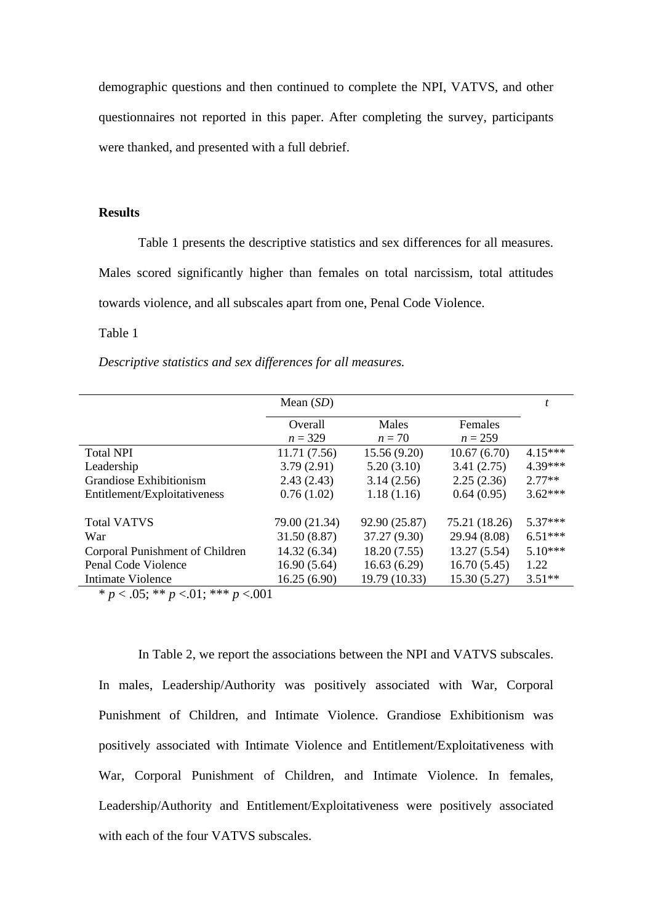demographic questions and then continued to complete the NPI, VATVS, and other questionnaires not reported in this paper. After completing the survey, participants were thanked, and presented with a full debrief.

## **Results**

Table 1 presents the descriptive statistics and sex differences for all measures. Males scored significantly higher than females on total narcissism, total attitudes towards violence, and all subscales apart from one, Penal Code Violence.

# Table 1

*Descriptive statistics and sex differences for all measures.*

|                                 | Mean $(SD)$   |               |               |           |
|---------------------------------|---------------|---------------|---------------|-----------|
|                                 | Overall       | Males         | Females       |           |
|                                 | $n = 329$     | $n=70$        | $n = 259$     |           |
| <b>Total NPI</b>                | 11.71(7.56)   | 15.56(9.20)   | 10.67(6.70)   | $4.15***$ |
| Leadership                      | 3.79(2.91)    | 5.20(3.10)    | 3.41(2.75)    | $4.39***$ |
| Grandiose Exhibitionism         | 2.43(2.43)    | 3.14(2.56)    | 2.25(2.36)    | $2.77**$  |
| Entitlement/Exploitativeness    | 0.76(1.02)    | 1.18(1.16)    | 0.64(0.95)    | $3.62***$ |
|                                 |               |               |               |           |
| <b>Total VATVS</b>              | 79.00 (21.34) | 92.90 (25.87) | 75.21 (18.26) | $5.37***$ |
| War                             | 31.50 (8.87)  | 37.27 (9.30)  | 29.94 (8.08)  | $6.51***$ |
| Corporal Punishment of Children | 14.32 (6.34)  | 18.20(7.55)   | 13.27(5.54)   | $5.10***$ |
| Penal Code Violence             | 16.90(5.64)   | 16.63(6.29)   | 16.70(5.45)   | 1.22      |
| Intimate Violence               | 16.25(6.90)   | 19.79 (10.33) | 15.30(5.27)   | $3.51**$  |

 $* p < .05$ ; \*\*  $p < .01$ ; \*\*\*  $p < .001$ 

In Table 2, we report the associations between the NPI and VATVS subscales. In males, Leadership/Authority was positively associated with War, Corporal Punishment of Children, and Intimate Violence. Grandiose Exhibitionism was positively associated with Intimate Violence and Entitlement/Exploitativeness with War, Corporal Punishment of Children, and Intimate Violence. In females, Leadership/Authority and Entitlement/Exploitativeness were positively associated with each of the four VATVS subscales.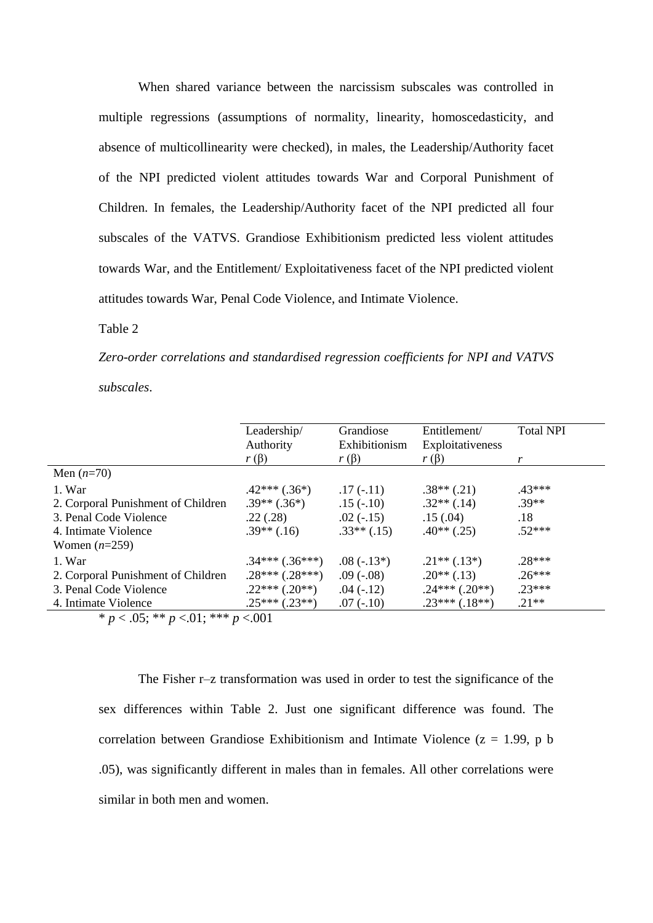When shared variance between the narcissism subscales was controlled in multiple regressions (assumptions of normality, linearity, homoscedasticity, and absence of multicollinearity were checked), in males, the Leadership/Authority facet of the NPI predicted violent attitudes towards War and Corporal Punishment of Children. In females, the Leadership/Authority facet of the NPI predicted all four subscales of the VATVS. Grandiose Exhibitionism predicted less violent attitudes towards War, and the Entitlement/ Exploitativeness facet of the NPI predicted violent attitudes towards War, Penal Code Violence, and Intimate Violence.

Table 2

*Zero-order correlations and standardised regression coefficients for NPI and VATVS subscales*.

|                                             | Leadership/<br>Authority | Grandiose<br>Exhibitionism | Entitlement/<br>Exploitativeness | <b>Total NPI</b> |  |  |
|---------------------------------------------|--------------------------|----------------------------|----------------------------------|------------------|--|--|
|                                             | $r(\beta)$               | $r(\beta)$                 | $r(\beta)$                       | r                |  |  |
| Men $(n=70)$                                |                          |                            |                                  |                  |  |  |
| 1. War                                      | $.42***(.36*)$           | $.17(-.11)$                | $.38**$ (.21)                    | $43***$          |  |  |
| 2. Corporal Punishment of Children          | $.39**(.36*)$            | $.15(-.10)$                | $.32**$ $(.14)$                  | $.39**$          |  |  |
| 3. Penal Code Violence                      | .22(.28)                 | $.02(-.15)$                | .15(.04)                         | .18              |  |  |
| 4. Intimate Violence                        | $.39**(.16)$             | $.33**(.15)$               | $.40**$ (.25)                    | $52***$          |  |  |
| Women $(n=259)$                             |                          |                            |                                  |                  |  |  |
| 1. War                                      | $.34***(.36***)$         | $.08(-.13*)$               | $.21**(.13*)$                    | $.28***$         |  |  |
| 2. Corporal Punishment of Children          | $.28***(.28***)$         | $.09(-.08)$                | $.20**$ (.13)                    | $.26***$         |  |  |
| 3. Penal Code Violence                      | $.22***(.20**)$          | $.04(-.12)$                | $.24***(.20**)$                  | $.23***$         |  |  |
| 4. Intimate Violence                        | $.25***(.23**)$          | $.07(-.10)$                | $.23***(.18**)$                  | $.21**$          |  |  |
| * $p < .05$ ; ** $p < .01$ ; *** $p < .001$ |                          |                            |                                  |                  |  |  |

The Fisher r–z transformation was used in order to test the significance of the sex differences within Table 2. Just one significant difference was found. The correlation between Grandiose Exhibitionism and Intimate Violence ( $z = 1.99$ , p b .05), was significantly different in males than in females. All other correlations were similar in both men and women.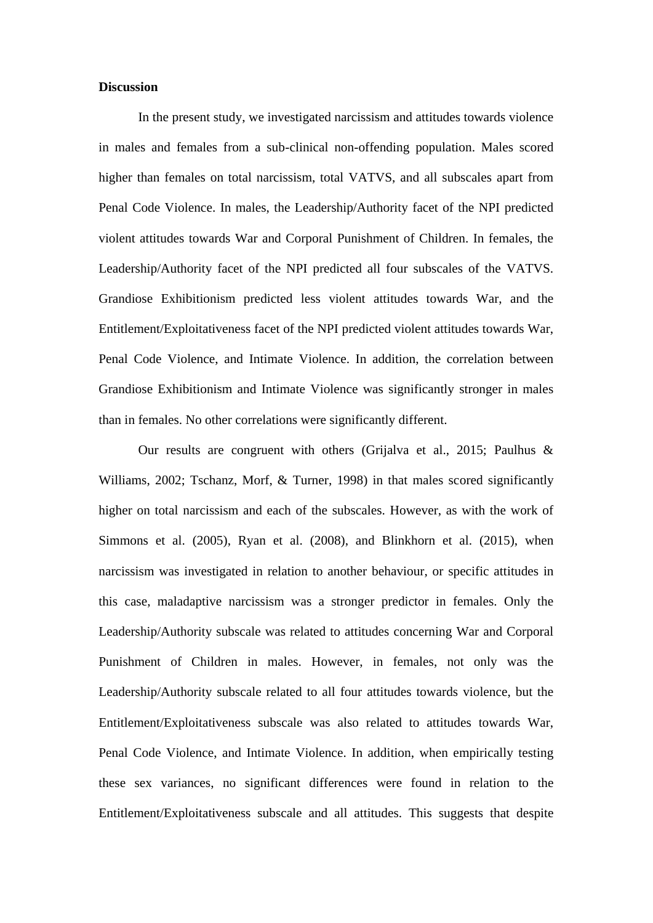#### **Discussion**

In the present study, we investigated narcissism and attitudes towards violence in males and females from a sub-clinical non-offending population. Males scored higher than females on total narcissism, total VATVS, and all subscales apart from Penal Code Violence. In males, the Leadership/Authority facet of the NPI predicted violent attitudes towards War and Corporal Punishment of Children. In females, the Leadership/Authority facet of the NPI predicted all four subscales of the VATVS. Grandiose Exhibitionism predicted less violent attitudes towards War, and the Entitlement/Exploitativeness facet of the NPI predicted violent attitudes towards War, Penal Code Violence, and Intimate Violence. In addition, the correlation between Grandiose Exhibitionism and Intimate Violence was significantly stronger in males than in females. No other correlations were significantly different.

Our results are congruent with others (Grijalva et al., 2015; Paulhus & Williams, 2002; Tschanz, Morf, & Turner, 1998) in that males scored significantly higher on total narcissism and each of the subscales. However, as with the work of Simmons et al. (2005), Ryan et al. (2008), and Blinkhorn et al. (2015), when narcissism was investigated in relation to another behaviour, or specific attitudes in this case, maladaptive narcissism was a stronger predictor in females. Only the Leadership/Authority subscale was related to attitudes concerning War and Corporal Punishment of Children in males. However, in females, not only was the Leadership/Authority subscale related to all four attitudes towards violence, but the Entitlement/Exploitativeness subscale was also related to attitudes towards War, Penal Code Violence, and Intimate Violence. In addition, when empirically testing these sex variances, no significant differences were found in relation to the Entitlement/Exploitativeness subscale and all attitudes. This suggests that despite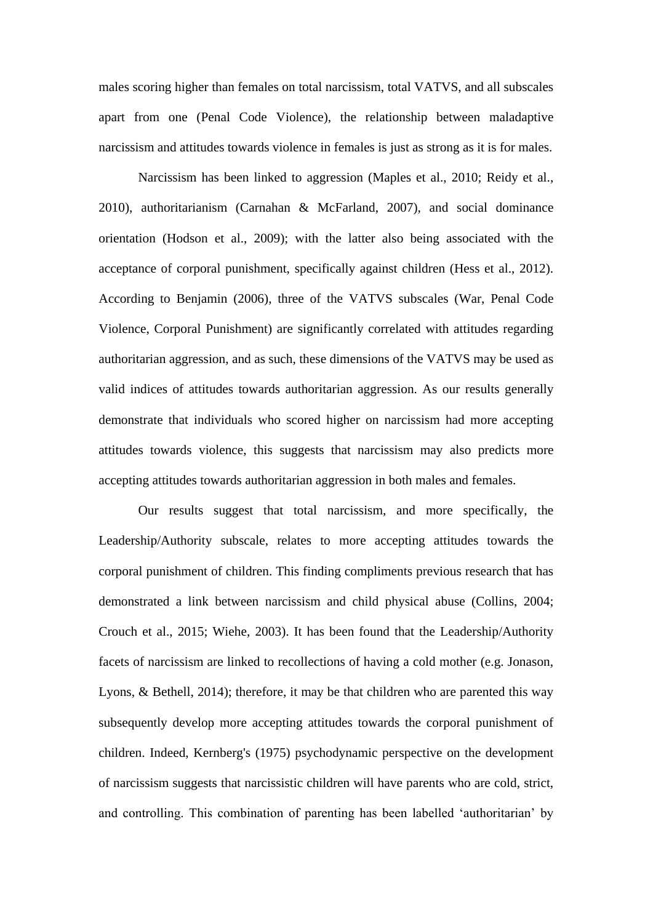males scoring higher than females on total narcissism, total VATVS, and all subscales apart from one (Penal Code Violence), the relationship between maladaptive narcissism and attitudes towards violence in females is just as strong as it is for males.

Narcissism has been linked to aggression (Maples et al., 2010; Reidy et al., 2010), authoritarianism (Carnahan & McFarland, 2007), and social dominance orientation (Hodson et al., 2009); with the latter also being associated with the acceptance of corporal punishment, specifically against children (Hess et al., 2012). According to Benjamin (2006), three of the VATVS subscales (War, Penal Code Violence, Corporal Punishment) are significantly correlated with attitudes regarding authoritarian aggression, and as such, these dimensions of the VATVS may be used as valid indices of attitudes towards authoritarian aggression. As our results generally demonstrate that individuals who scored higher on narcissism had more accepting attitudes towards violence, this suggests that narcissism may also predicts more accepting attitudes towards authoritarian aggression in both males and females.

Our results suggest that total narcissism, and more specifically, the Leadership/Authority subscale, relates to more accepting attitudes towards the corporal punishment of children. This finding compliments previous research that has demonstrated a link between narcissism and child physical abuse (Collins, 2004; Crouch et al., 2015; Wiehe, 2003). It has been found that the Leadership/Authority facets of narcissism are linked to recollections of having a cold mother (e.g. Jonason, Lyons, & Bethell, 2014); therefore, it may be that children who are parented this way subsequently develop more accepting attitudes towards the corporal punishment of children. Indeed, Kernberg's (1975) psychodynamic perspective on the development of narcissism suggests that narcissistic children will have parents who are cold, strict, and controlling. This combination of parenting has been labelled 'authoritarian' by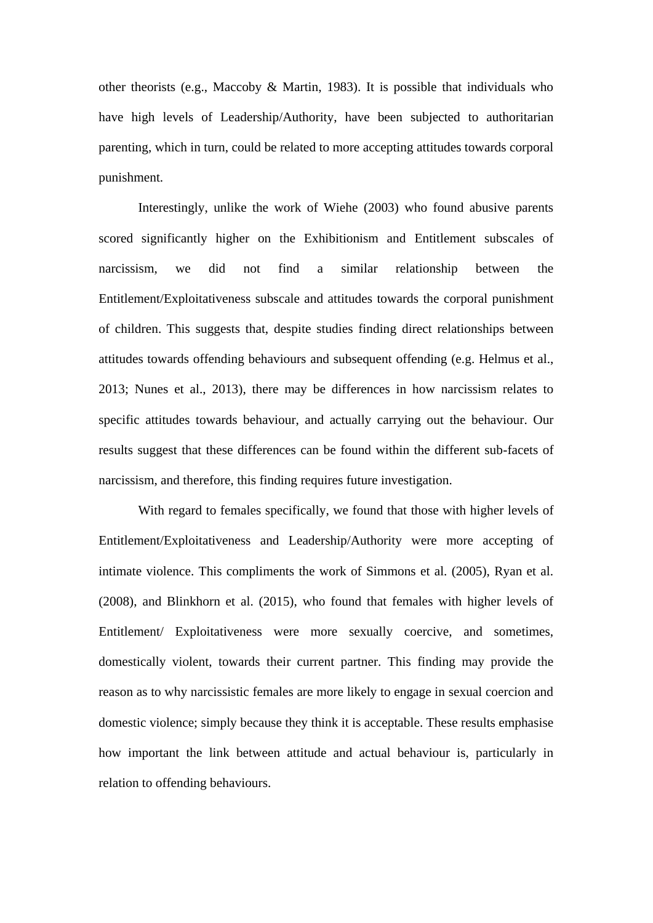other theorists (e.g., Maccoby & Martin, 1983). It is possible that individuals who have high levels of Leadership/Authority, have been subjected to authoritarian parenting, which in turn, could be related to more accepting attitudes towards corporal punishment.

Interestingly, unlike the work of Wiehe (2003) who found abusive parents scored significantly higher on the Exhibitionism and Entitlement subscales of narcissism, we did not find a similar relationship between the Entitlement/Exploitativeness subscale and attitudes towards the corporal punishment of children. This suggests that, despite studies finding direct relationships between attitudes towards offending behaviours and subsequent offending (e.g. Helmus et al., 2013; Nunes et al., 2013), there may be differences in how narcissism relates to specific attitudes towards behaviour, and actually carrying out the behaviour. Our results suggest that these differences can be found within the different sub-facets of narcissism, and therefore, this finding requires future investigation.

With regard to females specifically, we found that those with higher levels of Entitlement/Exploitativeness and Leadership/Authority were more accepting of intimate violence. This compliments the work of Simmons et al. (2005), Ryan et al. (2008), and Blinkhorn et al. (2015), who found that females with higher levels of Entitlement/ Exploitativeness were more sexually coercive, and sometimes, domestically violent, towards their current partner. This finding may provide the reason as to why narcissistic females are more likely to engage in sexual coercion and domestic violence; simply because they think it is acceptable. These results emphasise how important the link between attitude and actual behaviour is, particularly in relation to offending behaviours.